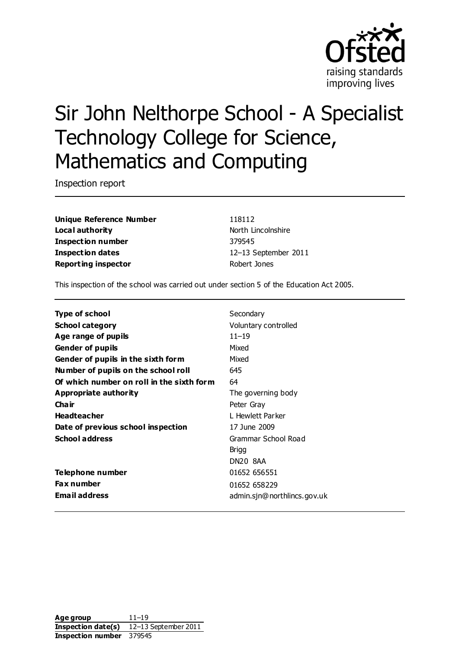

# Sir John Nelthorpe School - A Specialist Technology College for Science, Mathematics and Computing

Inspection report

**Unique Reference Number** 118112 **Local authority North Lincolnshire Inspection number** 379545 **Inspection dates** 12–13 September 2011 **Reporting inspector** Robert Jones

This inspection of the school was carried out under section 5 of the Education Act 2005.

| <b>Type of school</b>                     | Secondary                   |
|-------------------------------------------|-----------------------------|
| <b>School category</b>                    | Voluntary controlled        |
| Age range of pupils                       | $11 - 19$                   |
| <b>Gender of pupils</b>                   | Mixed                       |
| Gender of pupils in the sixth form        | Mixed                       |
| Number of pupils on the school roll       | 645                         |
| Of which number on roll in the sixth form | 64                          |
| Appropriate authority                     | The governing body          |
| Cha ir                                    | Peter Gray                  |
| <b>Headteacher</b>                        | L Hewlett Parker            |
| Date of previous school inspection        | 17 June 2009                |
| <b>School address</b>                     | Grammar School Road         |
|                                           | Brigg                       |
|                                           | DN20 8AA                    |
| Telephone number                          | 01652 656551                |
| <b>Fax number</b>                         | 01652 658229                |
| <b>Email address</b>                      | admin.sjn@northlincs.gov.uk |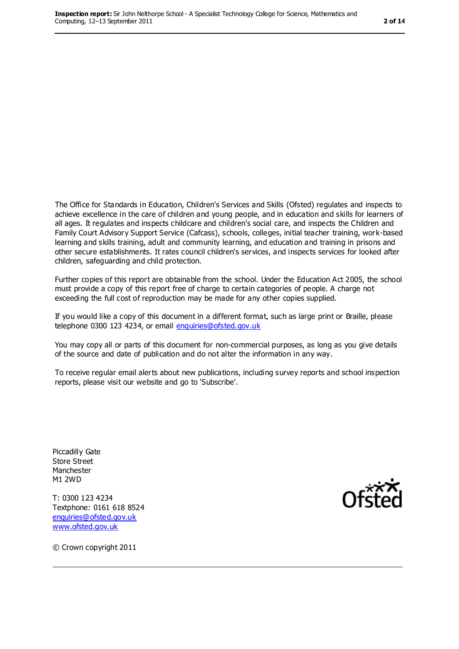The Office for Standards in Education, Children's Services and Skills (Ofsted) regulates and inspects to achieve excellence in the care of children and young people, and in education and skills for learners of all ages. It regulates and inspects childcare and children's social care, and inspects the Children and Family Court Advisory Support Service (Cafcass), schools, colleges, initial teacher training, work-based learning and skills training, adult and community learning, and education and training in prisons and other secure establishments. It rates council children's services, and inspects services for looked after children, safeguarding and child protection.

Further copies of this report are obtainable from the school. Under the Education Act 2005, the school must provide a copy of this report free of charge to certain categories of people. A charge not exceeding the full cost of reproduction may be made for any other copies supplied.

If you would like a copy of this document in a different format, such as large print or Braille, please telephone 0300 123 4234, or email [enquiries@ofsted.gov.uk](mailto:enquiries@ofsted.gov.uk)

You may copy all or parts of this document for non-commercial purposes, as long as you give details of the source and date of publication and do not alter the information in any way.

To receive regular email alerts about new publications, including survey reports and school inspection reports, please visit our website and go to 'Subscribe'.

Piccadilly Gate Store Street Manchester M1 2WD

T: 0300 123 4234 Textphone: 0161 618 8524 [enquiries@ofsted.gov.uk](mailto:enquiries@ofsted.gov.uk) [www.ofsted.gov.uk](http://www.ofsted.gov.uk)



© Crown copyright 2011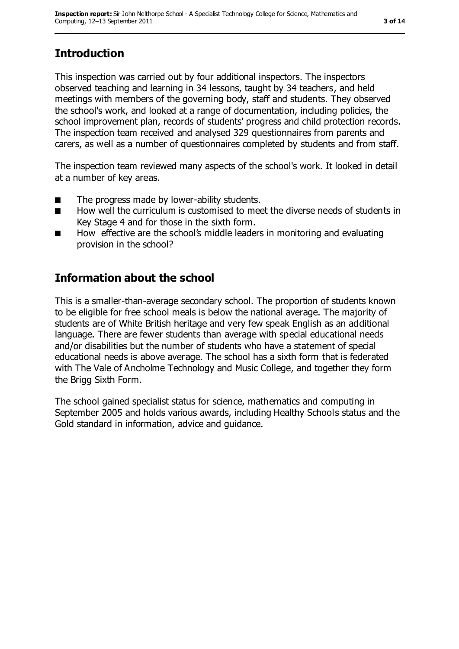# **Introduction**

This inspection was carried out by four additional inspectors. The inspectors observed teaching and learning in 34 lessons, taught by 34 teachers, and held meetings with members of the governing body, staff and students. They observed the school's work, and looked at a range of documentation, including policies, the school improvement plan, records of students' progress and child protection records. The inspection team received and analysed 329 questionnaires from parents and carers, as well as a number of questionnaires completed by students and from staff.

The inspection team reviewed many aspects of the school's work. It looked in detail at a number of key areas.

- The progress made by lower-ability students.
- How well the curriculum is customised to meet the diverse needs of students in Key Stage 4 and for those in the sixth form.
- How effective are the school's middle leaders in monitoring and evaluating provision in the school?

## **Information about the school**

This is a smaller-than-average secondary school. The proportion of students known to be eligible for free school meals is below the national average. The majority of students are of White British heritage and very few speak English as an additional language. There are fewer students than average with special educational needs and/or disabilities but the number of students who have a statement of special educational needs is above average. The school has a sixth form that is federated with The Vale of Ancholme Technology and Music College, and together they form the Brigg Sixth Form.

The school gained specialist status for science, mathematics and computing in September 2005 and holds various awards, including Healthy Schools status and the Gold standard in information, advice and guidance.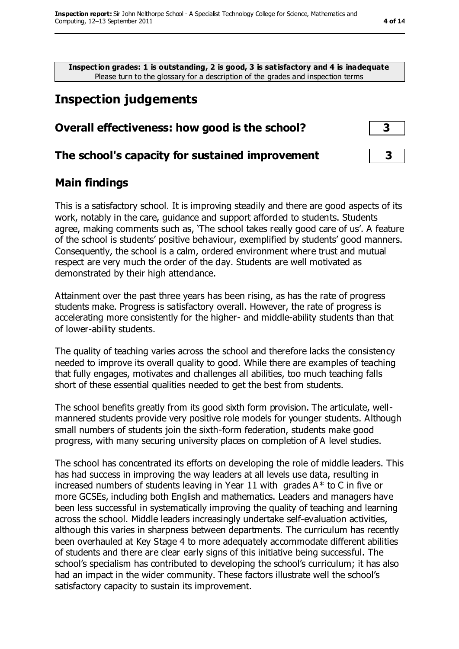**Inspection grades: 1 is outstanding, 2 is good, 3 is satisfactory and 4 is inadequate** Please turn to the glossary for a description of the grades and inspection terms

# **Inspection judgements**

#### **Overall effectiveness: how good is the school? 3**

#### **The school's capacity for sustained improvement 3**

#### **Main findings**

This is a satisfactory school. It is improving steadily and there are good aspects of its work, notably in the care, guidance and support afforded to students. Students agree, making comments such as, 'The school takes really good care of us'. A feature of the school is students' positive behaviour, exemplified by students' good manners. Consequently, the school is a calm, ordered environment where trust and mutual respect are very much the order of the day. Students are well motivated as demonstrated by their high attendance.

Attainment over the past three years has been rising, as has the rate of progress students make. Progress is satisfactory overall. However, the rate of progress is accelerating more consistently for the higher- and middle-ability students than that of lower-ability students.

The quality of teaching varies across the school and therefore lacks the consistency needed to improve its overall quality to good. While there are examples of teaching that fully engages, motivates and challenges all abilities, too much teaching falls short of these essential qualities needed to get the best from students.

The school benefits greatly from its good sixth form provision. The articulate, wellmannered students provide very positive role models for younger students. Although small numbers of students join the sixth-form federation, students make good progress, with many securing university places on completion of A level studies.

The school has concentrated its efforts on developing the role of middle leaders. This has had success in improving the way leaders at all levels use data, resulting in increased numbers of students leaving in Year 11 with grades  $A^*$  to C in five or more GCSEs, including both English and mathematics. Leaders and managers have been less successful in systematically improving the quality of teaching and learning across the school. Middle leaders increasingly undertake self-evaluation activities, although this varies in sharpness between departments. The curriculum has recently been overhauled at Key Stage 4 to more adequately accommodate different abilities of students and there are clear early signs of this initiative being successful. The school's specialism has contributed to developing the school's curriculum; it has also had an impact in the wider community. These factors illustrate well the school's satisfactory capacity to sustain its improvement.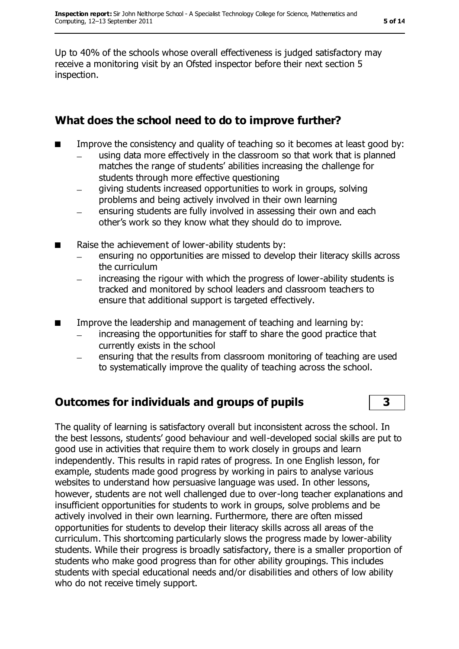Up to 40% of the schools whose overall effectiveness is judged satisfactory may receive a monitoring visit by an Ofsted inspector before their next section 5 inspection.

#### **What does the school need to do to improve further?**

- Improve the consistency and quality of teaching so it becomes at least good by:
	- using data more effectively in the classroom so that work that is planned matches the range of students' abilities increasing the challenge for students through more effective questioning
	- giving students increased opportunities to work in groups, solving problems and being actively involved in their own learning
	- ensuring students are fully involved in assessing their own and each other's work so they know what they should do to improve.
- Raise the achievement of lower-ability students by:
	- ensuring no opportunities are missed to develop their literacy skills across the curriculum
	- increasing the rigour with which the progress of lower-ability students is tracked and monitored by school leaders and classroom teachers to ensure that additional support is targeted effectively.
- Improve the leadership and management of teaching and learning by:
	- increasing the opportunities for staff to share the good practice that  $\equiv$ currently exists in the school
	- ensuring that the results from classroom monitoring of teaching are used to systematically improve the quality of teaching across the school.

## **Outcomes for individuals and groups of pupils 3**

The quality of learning is satisfactory overall but inconsistent across the school. In the best lessons, students' good behaviour and well-developed social skills are put to good use in activities that require them to work closely in groups and learn independently. This results in rapid rates of progress. In one English lesson, for example, students made good progress by working in pairs to analyse various websites to understand how persuasive language was used. In other lessons, however, students are not well challenged due to over-long teacher explanations and insufficient opportunities for students to work in groups, solve problems and be actively involved in their own learning. Furthermore, there are often missed opportunities for students to develop their literacy skills across all areas of the curriculum. This shortcoming particularly slows the progress made by lower-ability students. While their progress is broadly satisfactory, there is a smaller proportion of students who make good progress than for other ability groupings. This includes students with special educational needs and/or disabilities and others of low ability who do not receive timely support.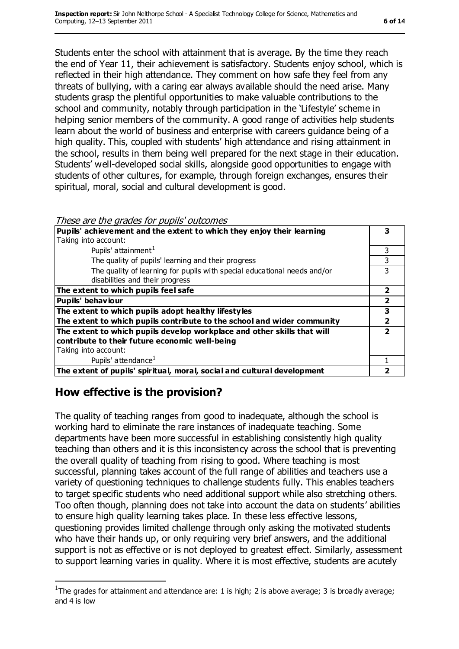Students enter the school with attainment that is average. By the time they reach the end of Year 11, their achievement is satisfactory. Students enjoy school, which is reflected in their high attendance. They comment on how safe they feel from any threats of bullying, with a caring ear always available should the need arise. Many students grasp the plentiful opportunities to make valuable contributions to the school and community, notably through participation in the 'Lifestyle' scheme in helping senior members of the community. A good range of activities help students learn about the world of business and enterprise with careers guidance being of a high quality. This, coupled with students' high attendance and rising attainment in the school, results in them being well prepared for the next stage in their education. Students' well-developed social skills, alongside good opportunities to engage with students of other cultures, for example, through foreign exchanges, ensures their spiritual, moral, social and cultural development is good.

| These are the grades for pupils' outcomes |  |  |
|-------------------------------------------|--|--|
|-------------------------------------------|--|--|

| Pupils' achievement and the extent to which they enjoy their learning    | 3 |
|--------------------------------------------------------------------------|---|
| Taking into account:                                                     |   |
| Pupils' attainment <sup>1</sup>                                          | 3 |
| The quality of pupils' learning and their progress                       | 3 |
| The quality of learning for pupils with special educational needs and/or | ٦ |
| disabilities and their progress                                          |   |
| The extent to which pupils feel safe                                     | 2 |
| <b>Pupils' behaviour</b>                                                 | 2 |
| The extent to which pupils adopt healthy lifestyles                      | 3 |
| The extent to which pupils contribute to the school and wider community  | 2 |
| The extent to which pupils develop workplace and other skills that will  |   |
| contribute to their future economic well-being                           |   |
| Taking into account:                                                     |   |
| Pupils' attendance <sup>1</sup>                                          |   |
| The extent of pupils' spiritual, moral, social and cultural development  |   |

#### **How effective is the provision?**

 $\overline{a}$ 

The quality of teaching ranges from good to inadequate, although the school is working hard to eliminate the rare instances of inadequate teaching. Some departments have been more successful in establishing consistently high quality teaching than others and it is this inconsistency across the school that is preventing the overall quality of teaching from rising to good. Where teaching is most successful, planning takes account of the full range of abilities and teachers use a variety of questioning techniques to challenge students fully. This enables teachers to target specific students who need additional support while also stretching others. Too often though, planning does not take into account the data on students' abilities to ensure high quality learning takes place. In these less effective lessons, questioning provides limited challenge through only asking the motivated students who have their hands up, or only requiring very brief answers, and the additional support is not as effective or is not deployed to greatest effect. Similarly, assessment to support learning varies in quality. Where it is most effective, students are acutely

<sup>&</sup>lt;sup>1</sup>The grades for attainment and attendance are: 1 is high; 2 is above average; 3 is broadly average; and 4 is low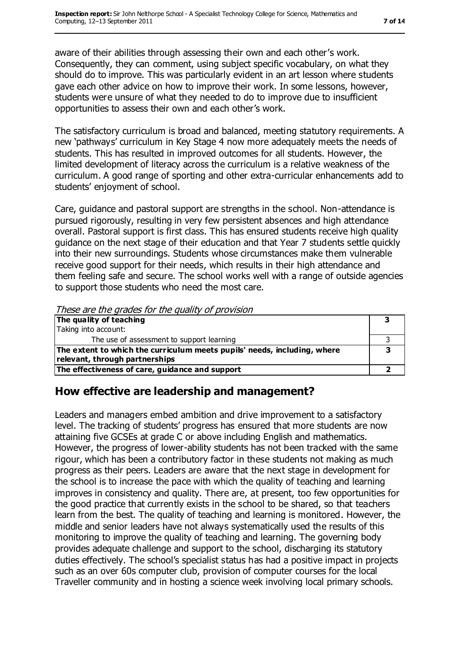aware of their abilities through assessing their own and each other's work. Consequently, they can comment, using subject specific vocabulary, on what they should do to improve. This was particularly evident in an art lesson where students gave each other advice on how to improve their work. In some lessons, however, students were unsure of what they needed to do to improve due to insufficient opportunities to assess their own and each other's work.

The satisfactory curriculum is broad and balanced, meeting statutory requirements. A new 'pathways' curriculum in Key Stage 4 now more adequately meets the needs of students. This has resulted in improved outcomes for all students. However, the limited development of literacy across the curriculum is a relative weakness of the curriculum. A good range of sporting and other extra-curricular enhancements add to students' enjoyment of school.

Care, guidance and pastoral support are strengths in the school. Non-attendance is pursued rigorously, resulting in very few persistent absences and high attendance overall. Pastoral support is first class. This has ensured students receive high quality guidance on the next stage of their education and that Year 7 students settle quickly into their new surroundings. Students whose circumstances make them vulnerable receive good support for their needs, which results in their high attendance and them feeling safe and secure. The school works well with a range of outside agencies to support those students who need the most care.

These are the grades for the quality of provision

| The quality of teaching                                                  |  |
|--------------------------------------------------------------------------|--|
| Taking into account:                                                     |  |
| The use of assessment to support learning                                |  |
| The extent to which the curriculum meets pupils' needs, including, where |  |
| relevant, through partnerships                                           |  |
| The effectiveness of care, guidance and support                          |  |

#### **How effective are leadership and management?**

Leaders and managers embed ambition and drive improvement to a satisfactory level. The tracking of students' progress has ensured that more students are now attaining five GCSEs at grade C or above including English and mathematics. However, the progress of lower-ability students has not been tracked with the same rigour, which has been a contributory factor in these students not making as much progress as their peers. Leaders are aware that the next stage in development for the school is to increase the pace with which the quality of teaching and learning improves in consistency and quality. There are, at present, too few opportunities for the good practice that currently exists in the school to be shared, so that teachers learn from the best. The quality of teaching and learning is monitored. However, the middle and senior leaders have not always systematically used the results of this monitoring to improve the quality of teaching and learning. The governing body provides adequate challenge and support to the school, discharging its statutory duties effectively. The school's specialist status has had a positive impact in projects such as an over 60s computer club, provision of computer courses for the local Traveller community and in hosting a science week involving local primary schools.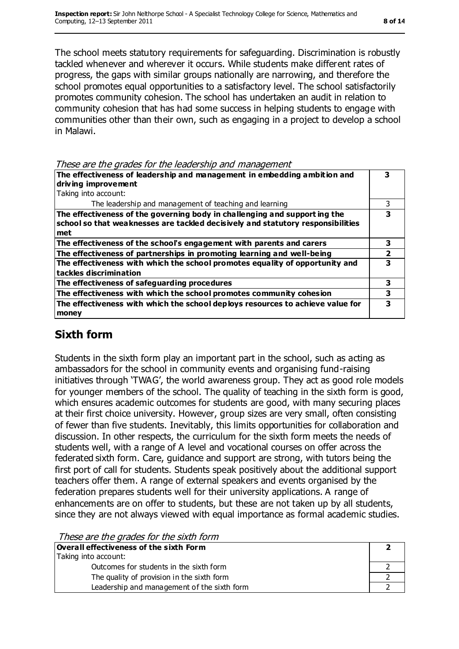The school meets statutory requirements for safeguarding. Discrimination is robustly tackled whenever and wherever it occurs. While students make different rates of progress, the gaps with similar groups nationally are narrowing, and therefore the school promotes equal opportunities to a satisfactory level. The school satisfactorily promotes community cohesion. The school has undertaken an audit in relation to community cohesion that has had some success in helping students to engage with communities other than their own, such as engaging in a project to develop a school in Malawi.

| These are the grades for the leadership and management |  |  |
|--------------------------------------------------------|--|--|
|                                                        |  |  |

| The effectiveness of leadership and management in embedding ambition and<br>driving improvement<br>Taking into account:                                             |   |
|---------------------------------------------------------------------------------------------------------------------------------------------------------------------|---|
| The leadership and management of teaching and learning                                                                                                              |   |
| The effectiveness of the governing body in challenging and supporting the<br>school so that weaknesses are tackled decisively and statutory responsibilities<br>met | 3 |
| The effectiveness of the school's engagement with parents and carers                                                                                                | 3 |
| The effectiveness of partnerships in promoting learning and well-being                                                                                              |   |
| The effectiveness with which the school promotes equality of opportunity and<br>tackles discrimination                                                              | 3 |
| The effectiveness of safeguarding procedures                                                                                                                        | 3 |
| The effectiveness with which the school promotes community cohesion                                                                                                 | 3 |
| The effectiveness with which the school deploys resources to achieve value for<br>money                                                                             | 3 |

## **Sixth form**

Students in the sixth form play an important part in the school, such as acting as ambassadors for the school in community events and organising fund-raising initiatives through 'TWAG', the world awareness group. They act as good role models for younger members of the school. The quality of teaching in the sixth form is good, which ensures academic outcomes for students are good, with many securing places at their first choice university. However, group sizes are very small, often consisting of fewer than five students. Inevitably, this limits opportunities for collaboration and discussion. In other respects, the curriculum for the sixth form meets the needs of students well, with a range of A level and vocational courses on offer across the federated sixth form. Care, guidance and support are strong, with tutors being the first port of call for students. Students speak positively about the additional support teachers offer them. A range of external speakers and events organised by the federation prepares students well for their university applications. A range of enhancements are on offer to students, but these are not taken up by all students, since they are not always viewed with equal importance as formal academic studies.

These are the grades for the sixth form

| Overall effectiveness of the sixth Form     |  |  |
|---------------------------------------------|--|--|
| Taking into account:                        |  |  |
| Outcomes for students in the sixth form     |  |  |
| The quality of provision in the sixth form  |  |  |
| Leadership and management of the sixth form |  |  |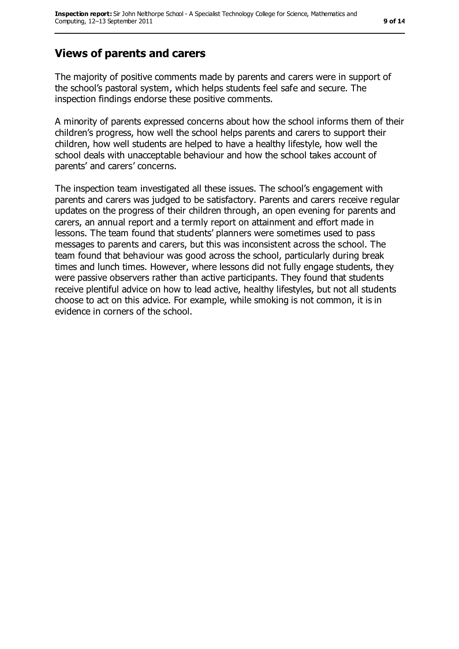## **Views of parents and carers**

The majority of positive comments made by parents and carers were in support of the school's pastoral system, which helps students feel safe and secure. The inspection findings endorse these positive comments.

A minority of parents expressed concerns about how the school informs them of their children's progress, how well the school helps parents and carers to support their children, how well students are helped to have a healthy lifestyle, how well the school deals with unacceptable behaviour and how the school takes account of parents' and carers' concerns.

The inspection team investigated all these issues. The school's engagement with parents and carers was judged to be satisfactory. Parents and carers receive regular updates on the progress of their children through, an open evening for parents and carers, an annual report and a termly report on attainment and effort made in lessons. The team found that students' planners were sometimes used to pass messages to parents and carers, but this was inconsistent across the school. The team found that behaviour was good across the school, particularly during break times and lunch times. However, where lessons did not fully engage students, they were passive observers rather than active participants. They found that students receive plentiful advice on how to lead active, healthy lifestyles, but not all students choose to act on this advice. For example, while smoking is not common, it is in evidence in corners of the school.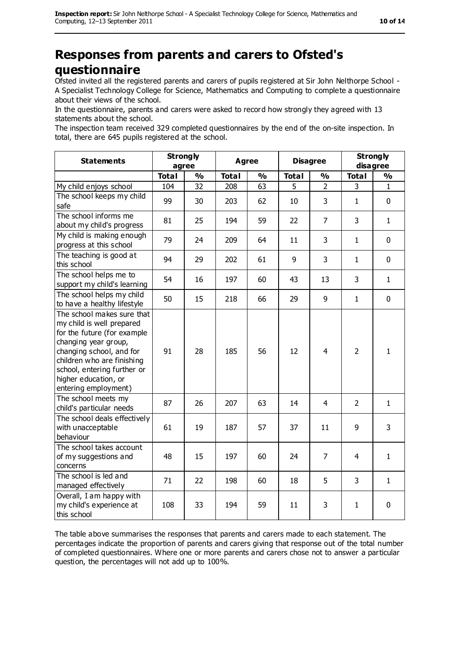# **Responses from parents and carers to Ofsted's questionnaire**

Ofsted invited all the registered parents and carers of pupils registered at Sir John Nelthorpe School - A Specialist Technology College for Science, Mathematics and Computing to complete a questionnaire about their views of the school.

In the questionnaire, parents and carers were asked to record how strongly they agreed with 13 statements about the school.

The inspection team received 329 completed questionnaires by the end of the on-site inspection. In total, there are 645 pupils registered at the school.

| <b>Statements</b>                                                                                                                                                                                                                                       | <b>Strongly</b><br>agree |               | <b>Agree</b> |               | <b>Disagree</b> |                | <b>Strongly</b><br>disagree |               |
|---------------------------------------------------------------------------------------------------------------------------------------------------------------------------------------------------------------------------------------------------------|--------------------------|---------------|--------------|---------------|-----------------|----------------|-----------------------------|---------------|
|                                                                                                                                                                                                                                                         | <b>Total</b>             | $\frac{1}{2}$ | <b>Total</b> | $\frac{1}{2}$ | <b>Total</b>    | $\frac{1}{2}$  | <b>Total</b>                | $\frac{1}{2}$ |
| My child enjoys school                                                                                                                                                                                                                                  | 104                      | 32            | 208          | 63            | 5               | $\overline{2}$ | 3                           | 1             |
| The school keeps my child<br>safe                                                                                                                                                                                                                       | 99                       | 30            | 203          | 62            | 10              | 3              | $\mathbf{1}$                | 0             |
| The school informs me<br>about my child's progress                                                                                                                                                                                                      | 81                       | 25            | 194          | 59            | 22              | $\overline{7}$ | 3                           | $\mathbf{1}$  |
| My child is making enough<br>progress at this school                                                                                                                                                                                                    | 79                       | 24            | 209          | 64            | 11              | 3              | $\mathbf{1}$                | 0             |
| The teaching is good at<br>this school                                                                                                                                                                                                                  | 94                       | 29            | 202          | 61            | 9               | 3              | $\mathbf{1}$                | 0             |
| The school helps me to<br>support my child's learning                                                                                                                                                                                                   | 54                       | 16            | 197          | 60            | 43              | 13             | 3                           | $\mathbf{1}$  |
| The school helps my child<br>to have a healthy lifestyle                                                                                                                                                                                                | 50                       | 15            | 218          | 66            | 29              | 9              | $\mathbf{1}$                | $\mathbf 0$   |
| The school makes sure that<br>my child is well prepared<br>for the future (for example<br>changing year group,<br>changing school, and for<br>children who are finishing<br>school, entering further or<br>higher education, or<br>entering employment) | 91                       | 28            | 185          | 56            | 12              | 4              | $\overline{2}$              | $\mathbf{1}$  |
| The school meets my<br>child's particular needs                                                                                                                                                                                                         | 87                       | 26            | 207          | 63            | 14              | $\overline{4}$ | $\overline{2}$              | $\mathbf{1}$  |
| The school deals effectively<br>with unacceptable<br>behaviour                                                                                                                                                                                          | 61                       | 19            | 187          | 57            | 37              | 11             | 9                           | 3             |
| The school takes account<br>of my suggestions and<br>concerns                                                                                                                                                                                           | 48                       | 15            | 197          | 60            | 24              | 7              | 4                           | $\mathbf{1}$  |
| The school is led and<br>managed effectively                                                                                                                                                                                                            | 71                       | 22            | 198          | 60            | 18              | 5              | 3                           | $\mathbf{1}$  |
| Overall, I am happy with<br>my child's experience at<br>this school                                                                                                                                                                                     | 108                      | 33            | 194          | 59            | 11              | 3              | $\mathbf{1}$                | 0             |

The table above summarises the responses that parents and carers made to each statement. The percentages indicate the proportion of parents and carers giving that response out of the total number of completed questionnaires. Where one or more parents and carers chose not to answer a particular question, the percentages will not add up to 100%.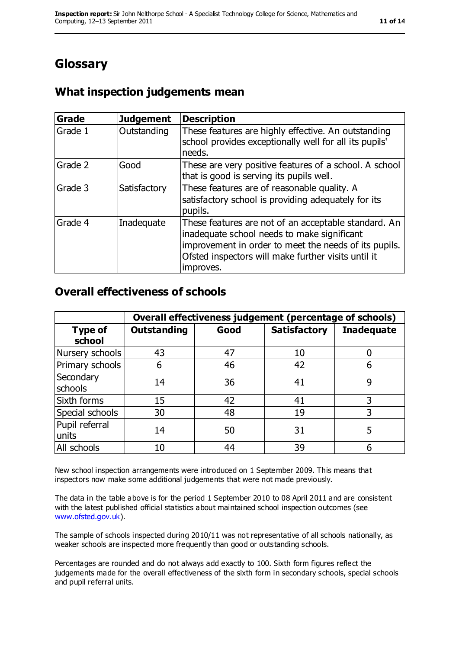# **Glossary**

## **What inspection judgements mean**

| <b>Grade</b> | <b>Judgement</b> | <b>Description</b>                                                                                                                                                                                                               |
|--------------|------------------|----------------------------------------------------------------------------------------------------------------------------------------------------------------------------------------------------------------------------------|
| Grade 1      | Outstanding      | These features are highly effective. An outstanding<br>school provides exceptionally well for all its pupils'<br>needs.                                                                                                          |
| Grade 2      | Good             | These are very positive features of a school. A school<br>that is good is serving its pupils well.                                                                                                                               |
| Grade 3      | Satisfactory     | These features are of reasonable quality. A<br>satisfactory school is providing adequately for its<br>pupils.                                                                                                                    |
| Grade 4      | Inadequate       | These features are not of an acceptable standard. An<br>inadequate school needs to make significant<br>improvement in order to meet the needs of its pupils.<br>Ofsted inspectors will make further visits until it<br>improves. |

#### **Overall effectiveness of schools**

|                          | Overall effectiveness judgement (percentage of schools) |      |                     |                   |
|--------------------------|---------------------------------------------------------|------|---------------------|-------------------|
| <b>Type of</b><br>school | <b>Outstanding</b>                                      | Good | <b>Satisfactory</b> | <b>Inadequate</b> |
| Nursery schools          | 43                                                      | 47   | 10                  |                   |
| Primary schools          | 6                                                       | 46   | 42                  |                   |
| Secondary<br>schools     | 14                                                      | 36   | 41                  | 9                 |
| Sixth forms              | 15                                                      | 42   | 41                  | 3                 |
| Special schools          | 30                                                      | 48   | 19                  | 3                 |
| Pupil referral<br>units  | 14                                                      | 50   | 31                  | 5                 |
| All schools              | 10                                                      | 44   | 39                  |                   |

New school inspection arrangements were introduced on 1 September 2009. This means that inspectors now make some additional judgements that were not made previously.

The data in the table above is for the period 1 September 2010 to 08 April 2011 and are consistent with the latest published official statistics about maintained school inspection outcomes (see [www.ofsted.gov.uk\)](http://www.ofsted.gov.uk).

The sample of schools inspected during 2010/11 was not representative of all schools nationally, as weaker schools are inspected more frequently than good or outstanding schools.

Percentages are rounded and do not always add exactly to 100. Sixth form figures reflect the judgements made for the overall effectiveness of the sixth form in secondary schools, special schools and pupil referral units.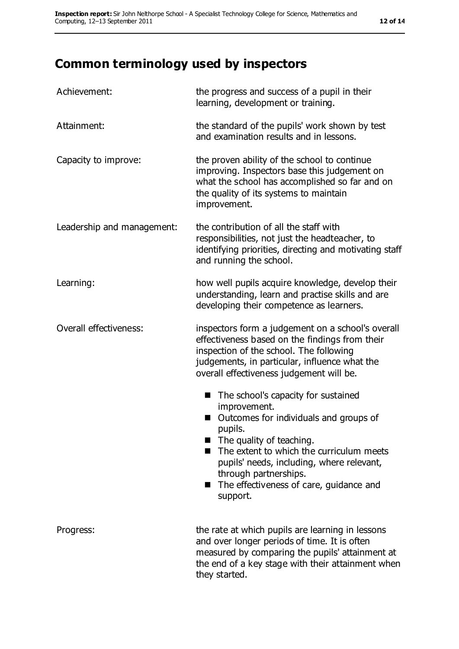# **Common terminology used by inspectors**

| Achievement:               | the progress and success of a pupil in their<br>learning, development or training.                                                                                                                                                                                                                                                  |  |  |
|----------------------------|-------------------------------------------------------------------------------------------------------------------------------------------------------------------------------------------------------------------------------------------------------------------------------------------------------------------------------------|--|--|
| Attainment:                | the standard of the pupils' work shown by test<br>and examination results and in lessons.                                                                                                                                                                                                                                           |  |  |
| Capacity to improve:       | the proven ability of the school to continue<br>improving. Inspectors base this judgement on<br>what the school has accomplished so far and on<br>the quality of its systems to maintain<br>improvement.                                                                                                                            |  |  |
| Leadership and management: | the contribution of all the staff with<br>responsibilities, not just the headteacher, to<br>identifying priorities, directing and motivating staff<br>and running the school.                                                                                                                                                       |  |  |
| Learning:                  | how well pupils acquire knowledge, develop their<br>understanding, learn and practise skills and are<br>developing their competence as learners.                                                                                                                                                                                    |  |  |
| Overall effectiveness:     | inspectors form a judgement on a school's overall<br>effectiveness based on the findings from their<br>inspection of the school. The following<br>judgements, in particular, influence what the<br>overall effectiveness judgement will be.                                                                                         |  |  |
|                            | The school's capacity for sustained<br>■<br>improvement.<br>Outcomes for individuals and groups of<br>pupils.<br>$\blacksquare$ The quality of teaching.<br>The extent to which the curriculum meets<br>pupils' needs, including, where relevant,<br>through partnerships.<br>■ The effectiveness of care, guidance and<br>support. |  |  |
| Progress:                  | the rate at which pupils are learning in lessons<br>and over longer periods of time. It is often<br>measured by comparing the pupils' attainment at<br>the end of a key stage with their attainment when<br>they started.                                                                                                           |  |  |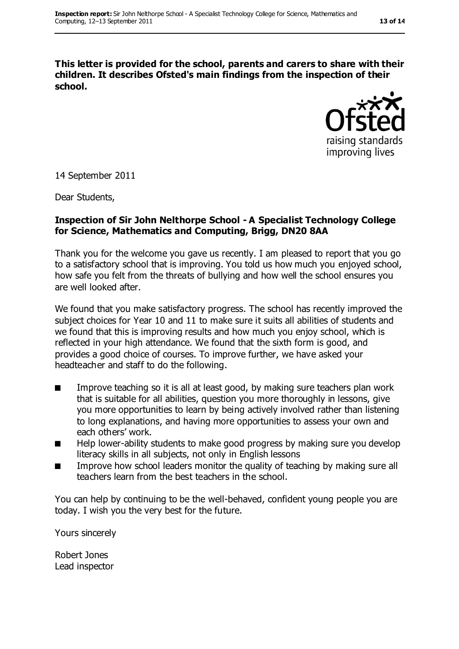**This letter is provided for the school, parents and carers to share with their children. It describes Ofsted's main findings from the inspection of their school.**



14 September 2011

Dear Students,

#### **Inspection of Sir John Nelthorpe School - A Specialist Technology College for Science, Mathematics and Computing, Brigg, DN20 8AA**

Thank you for the welcome you gave us recently. I am pleased to report that you go to a satisfactory school that is improving. You told us how much you enjoyed school, how safe you felt from the threats of bullying and how well the school ensures you are well looked after.

We found that you make satisfactory progress. The school has recently improved the subject choices for Year 10 and 11 to make sure it suits all abilities of students and we found that this is improving results and how much you enjoy school, which is reflected in your high attendance. We found that the sixth form is good, and provides a good choice of courses. To improve further, we have asked your headteacher and staff to do the following.

- Improve teaching so it is all at least good, by making sure teachers plan work that is suitable for all abilities, question you more thoroughly in lessons, give you more opportunities to learn by being actively involved rather than listening to long explanations, and having more opportunities to assess your own and each others' work.
- Help lower-ability students to make good progress by making sure you develop literacy skills in all subjects, not only in English lessons
- Improve how school leaders monitor the quality of teaching by making sure all teachers learn from the best teachers in the school.

You can help by continuing to be the well-behaved, confident young people you are today. I wish you the very best for the future.

Yours sincerely

Robert Jones Lead inspector